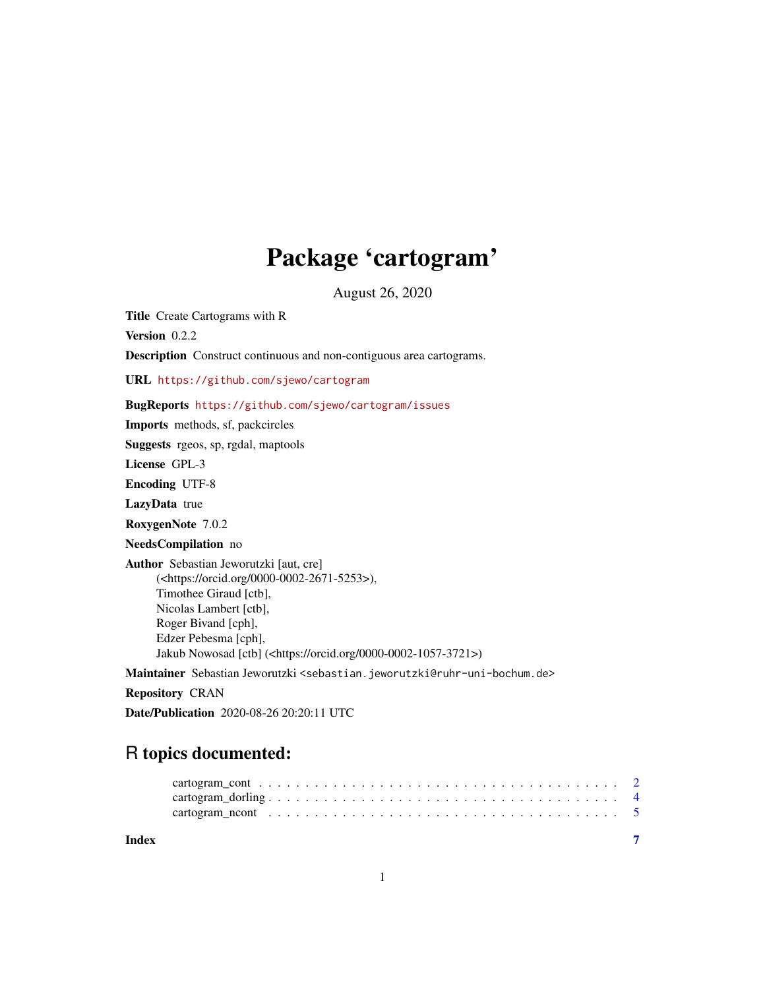## Package 'cartogram'

August 26, 2020

Title Create Cartograms with R

Version 0.2.2 Description Construct continuous and non-contiguous area cartograms. URL <https://github.com/sjewo/cartogram> BugReports <https://github.com/sjewo/cartogram/issues> Imports methods, sf, packcircles Suggests rgeos, sp, rgdal, maptools License GPL-3 Encoding UTF-8 LazyData true RoxygenNote 7.0.2 NeedsCompilation no Author Sebastian Jeworutzki [aut, cre] (<https://orcid.org/0000-0002-2671-5253>), Timothee Giraud [ctb], Nicolas Lambert [ctb], Roger Bivand [cph], Edzer Pebesma [cph], Jakub Nowosad [ctb] (<https://orcid.org/0000-0002-1057-3721>) Maintainer Sebastian Jeworutzki <sebastian.jeworutzki@ruhr-uni-bochum.de> Repository CRAN

Date/Publication 2020-08-26 20:20:11 UTC

### R topics documented:

| Index |  |  |  |  |  |  |  |  |  |  |  |  |  |  |  |  |  |  |
|-------|--|--|--|--|--|--|--|--|--|--|--|--|--|--|--|--|--|--|
|       |  |  |  |  |  |  |  |  |  |  |  |  |  |  |  |  |  |  |
|       |  |  |  |  |  |  |  |  |  |  |  |  |  |  |  |  |  |  |
|       |  |  |  |  |  |  |  |  |  |  |  |  |  |  |  |  |  |  |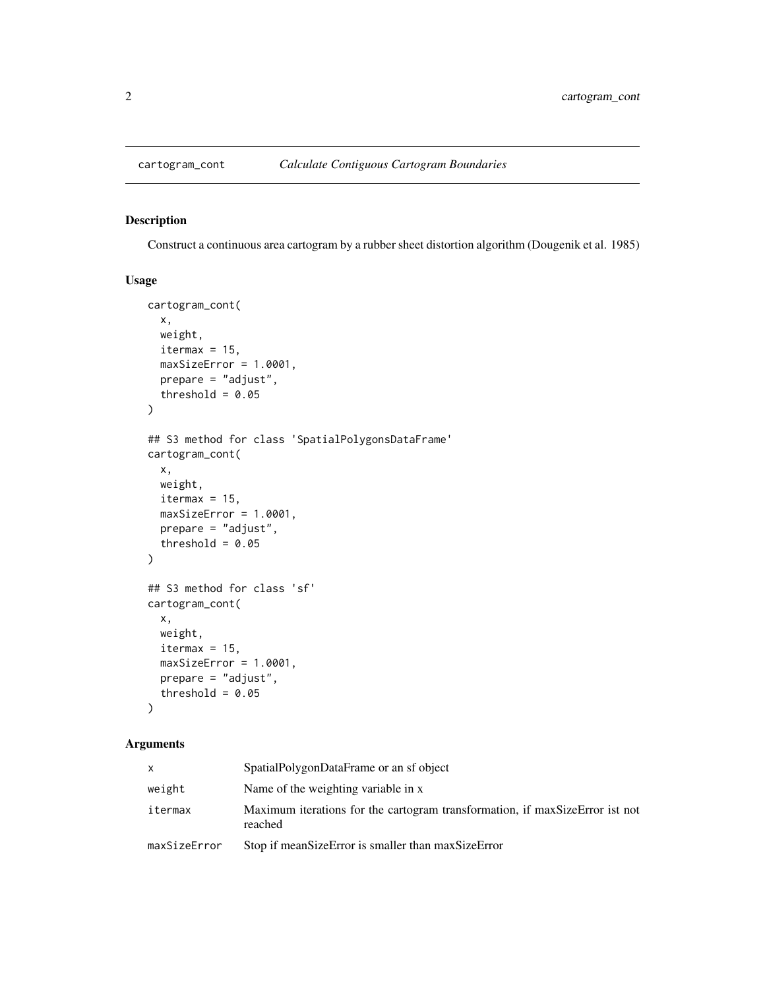<span id="page-1-0"></span>

#### Description

Construct a continuous area cartogram by a rubber sheet distortion algorithm (Dougenik et al. 1985)

#### Usage

```
cartogram_cont(
  x,
 weight,
  itermax = 15,
 maxSizeError = 1.0001,
 prepare = "adjust",
  threshold = 0.05)
## S3 method for class 'SpatialPolygonsDataFrame'
cartogram_cont(
 x,
 weight,
 itermax = 15,
 maxSizeError = 1.0001,
 prepare = "adjust",
  threshold = 0.05)
## S3 method for class 'sf'
cartogram_cont(
 x,
 weight,
 itermax = 15,
 maxSizeError = 1.0001,
 prepare = "adjust",
  threshold = 0.05)
```
## Arguments

| x            | SpatialPolygonDataFrame or an sf object                                                 |
|--------------|-----------------------------------------------------------------------------------------|
| weight       | Name of the weighting variable in x                                                     |
| itermax      | Maximum iterations for the cartogram transformation, if maxSizeError ist not<br>reached |
| maxSizeError | Stop if meanSizeError is smaller than maxSizeError                                      |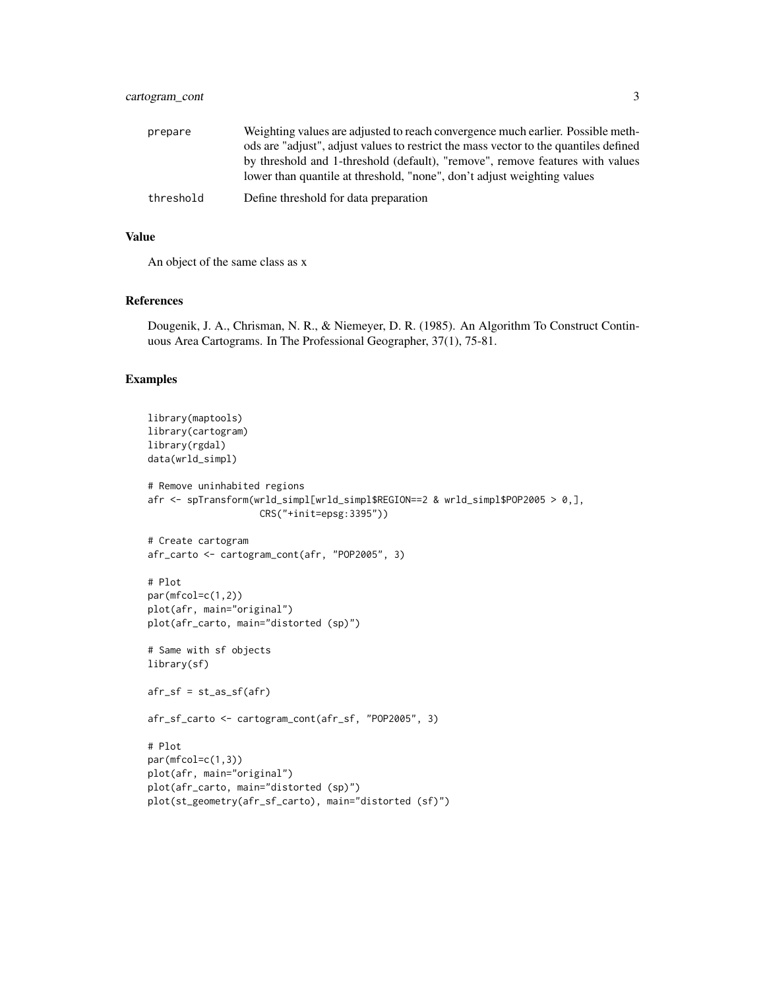| prepare   | Weighting values are adjusted to reach convergence much earlier. Possible meth-      |
|-----------|--------------------------------------------------------------------------------------|
|           | ods are "adjust", adjust values to restrict the mass vector to the quantiles defined |
|           | by threshold and 1-threshold (default), "remove", remove features with values        |
|           | lower than quantile at threshold, "none", don't adjust weighting values              |
| threshold | Define threshold for data preparation                                                |
|           |                                                                                      |

#### Value

An object of the same class as x

#### References

Dougenik, J. A., Chrisman, N. R., & Niemeyer, D. R. (1985). An Algorithm To Construct Continuous Area Cartograms. In The Professional Geographer, 37(1), 75-81.

#### Examples

```
library(maptools)
library(cartogram)
library(rgdal)
data(wrld_simpl)
# Remove uninhabited regions
afr <- spTransform(wrld_simpl[wrld_simpl$REGION==2 & wrld_simpl$POP2005 > 0,],
                    CRS("+init=epsg:3395"))
# Create cartogram
afr_carto <- cartogram_cont(afr, "POP2005", 3)
# Plot
par(mfcol=c(1,2))
plot(afr, main="original")
plot(afr_carto, main="distorted (sp)")
# Same with sf objects
library(sf)
afr_s f = st_a s_s f(afr)afr_sf_carto <- cartogram_cont(afr_sf, "POP2005", 3)
# Plot
par(mfcol=c(1,3))
plot(afr, main="original")
plot(afr_carto, main="distorted (sp)")
plot(st_geometry(afr_sf_carto), main="distorted (sf)")
```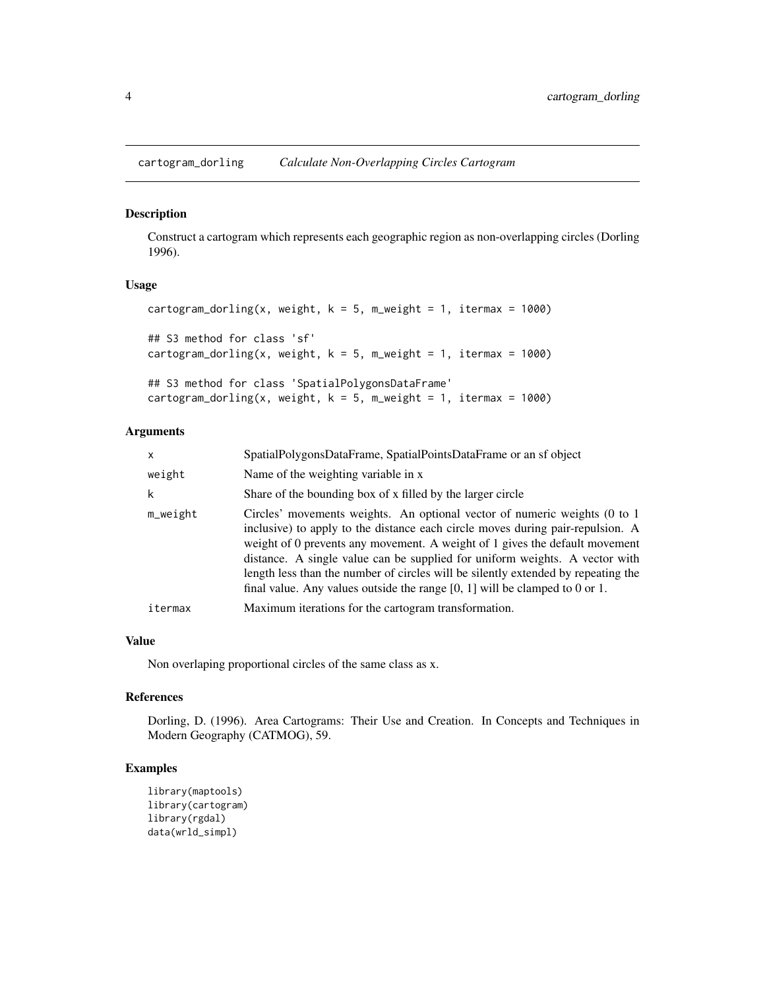<span id="page-3-0"></span>cartogram\_dorling *Calculate Non-Overlapping Circles Cartogram*

#### Description

Construct a cartogram which represents each geographic region as non-overlapping circles (Dorling 1996).

#### Usage

```
cartogram_dorling(x, weight, k = 5, m_weight = 1, itermax = 1000)
## S3 method for class 'sf'
cartogram_dorling(x, weight, k = 5, m_weight = 1, itermax = 1000)
## S3 method for class 'SpatialPolygonsDataFrame'
cartogram_dorling(x, weight, k = 5, m_weight = 1, itermax = 1000)
```
#### Arguments

| $\mathsf{x}$ | SpatialPolygonsDataFrame, SpatialPointsDataFrame or an sf object                                                                                                                                                                                                                                                                                                                                                                                                                                |
|--------------|-------------------------------------------------------------------------------------------------------------------------------------------------------------------------------------------------------------------------------------------------------------------------------------------------------------------------------------------------------------------------------------------------------------------------------------------------------------------------------------------------|
| weight       | Name of the weighting variable in x                                                                                                                                                                                                                                                                                                                                                                                                                                                             |
| k            | Share of the bounding box of x filled by the larger circle                                                                                                                                                                                                                                                                                                                                                                                                                                      |
| $m$ weight   | Circles' movements weights. An optional vector of numeric weights (0 to 1<br>inclusive) to apply to the distance each circle moves during pair-repulsion. A<br>weight of 0 prevents any movement. A weight of 1 gives the default movement<br>distance. A single value can be supplied for uniform weights. A vector with<br>length less than the number of circles will be silently extended by repeating the<br>final value. Any values outside the range $[0, 1]$ will be clamped to 0 or 1. |
| itermax      | Maximum iterations for the cartogram transformation.                                                                                                                                                                                                                                                                                                                                                                                                                                            |

#### Value

Non overlaping proportional circles of the same class as x.

#### References

Dorling, D. (1996). Area Cartograms: Their Use and Creation. In Concepts and Techniques in Modern Geography (CATMOG), 59.

#### Examples

```
library(maptools)
library(cartogram)
library(rgdal)
data(wrld_simpl)
```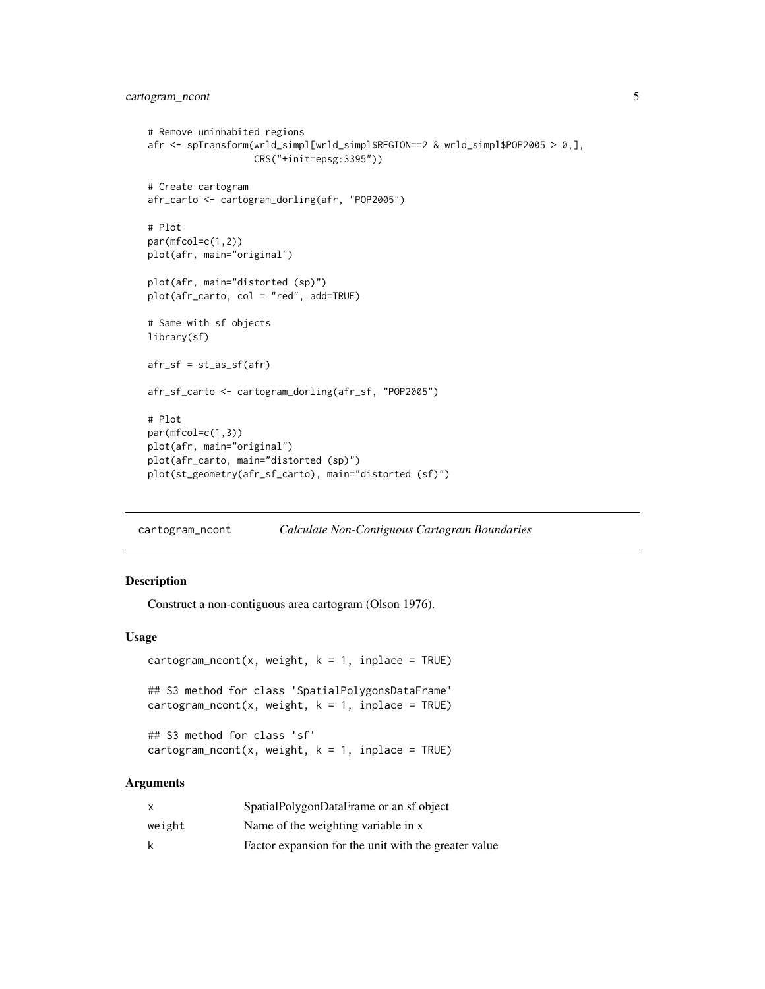#### <span id="page-4-0"></span>cartogram\_ncont 5

```
# Remove uninhabited regions
afr <- spTransform(wrld_simpl[wrld_simpl$REGION==2 & wrld_simpl$POP2005 > 0,],
                   CRS("+init=epsg:3395"))
# Create cartogram
afr_carto <- cartogram_dorling(afr, "POP2005")
# Plot
par(mfcol=c(1,2))
plot(afr, main="original")
plot(afr, main="distorted (sp)")
plot(afr_carto, col = "red", add=TRUE)
# Same with sf objects
library(sf)
afr_sf = st_as_sf(afr)afr_sf_carto <- cartogram_dorling(afr_sf, "POP2005")
# Plot
par(mfcol=c(1,3))
plot(afr, main="original")
plot(afr_carto, main="distorted (sp)")
plot(st_geometry(afr_sf_carto), main="distorted (sf)")
```
cartogram\_ncont *Calculate Non-Contiguous Cartogram Boundaries*

#### Description

Construct a non-contiguous area cartogram (Olson 1976).

#### Usage

```
cartogram\_ncont(x, weight, k = 1, inplace = TRUE)## S3 method for class 'SpatialPolygonsDataFrame'
cartogram\_ncont(x, weight, k = 1, inplace = TRUE)## S3 method for class 'sf'
cartogram\_ncont(x, weight, k = 1, inplace = TRUE)
```
#### Arguments

| x      | SpatialPolygonDataFrame or an sf object              |
|--------|------------------------------------------------------|
| weight | Name of the weighting variable in x                  |
| k      | Factor expansion for the unit with the greater value |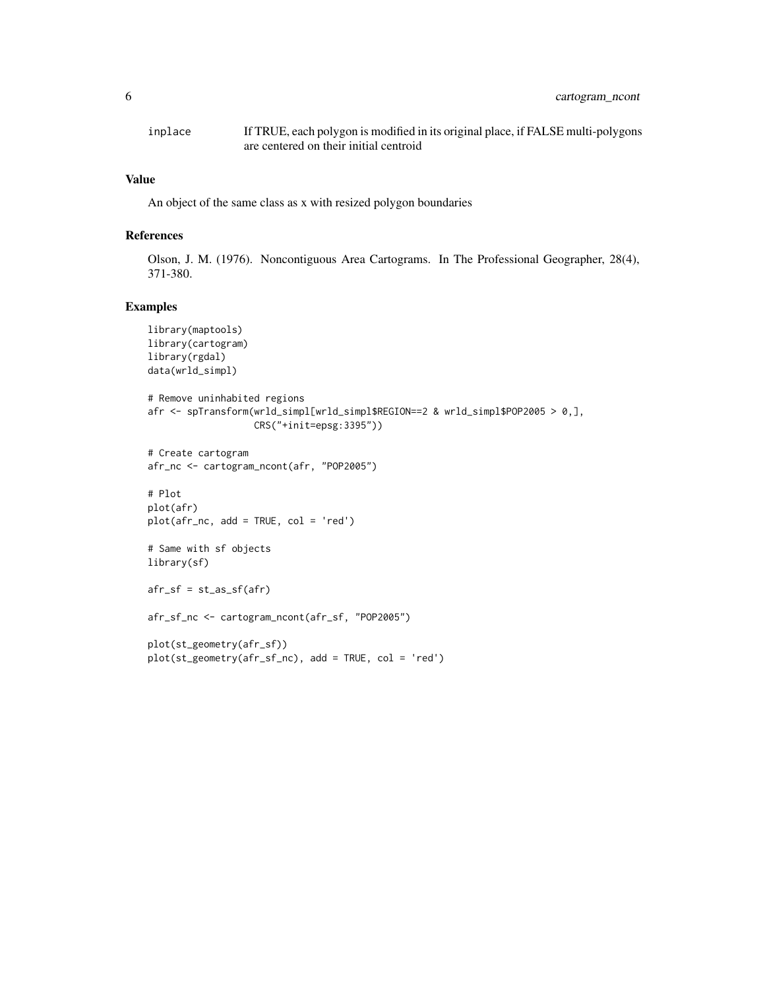| inplace | If TRUE, each polygon is modified in its original place, if FALSE multi-polygons |
|---------|----------------------------------------------------------------------------------|
|         | are centered on their initial centroid                                           |

#### Value

An object of the same class as x with resized polygon boundaries

#### References

Olson, J. M. (1976). Noncontiguous Area Cartograms. In The Professional Geographer, 28(4), 371-380.

#### Examples

```
library(maptools)
library(cartogram)
library(rgdal)
data(wrld_simpl)
# Remove uninhabited regions
afr <- spTransform(wrld_simpl[wrld_simpl$REGION==2 & wrld_simpl$POP2005 > 0,],
                   CRS("+init=epsg:3395"))
# Create cartogram
afr_nc <- cartogram_ncont(afr, "POP2005")
# Plot
plot(afr)
plot(afr_nc, add = TRUE, col = 'red')
# Same with sf objects
library(sf)
afr_s f = st_a s_s f(afr)afr_sf_nc <- cartogram_ncont(afr_sf, "POP2005")
plot(st_geometry(afr_sf))
plot(st_geometry(afr_sf_nc), add = TRUE, col = 'red')
```